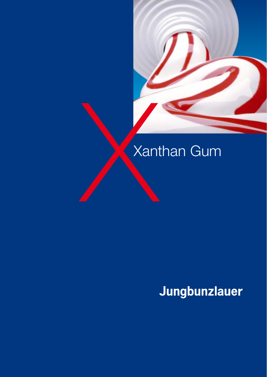

# **Xanthan Gum**

## Jungbunzlauer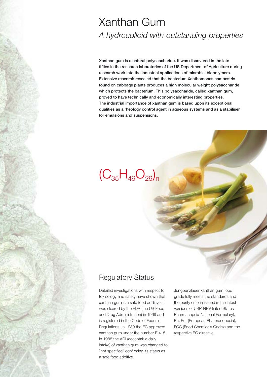## Xanthan Gum *A hydrocolloid with outstanding properties*

**Xanthan gum is a natural polysaccharide. It was discovered in the late fifties in the research laboratories of the US Department of Agriculture during research work into the industrial applications of microbial biopolymers. Extensive research revealed that the bacterium Xanthomonas campestris found on cabbage plants produces a high molecular weight polysaccharide which protects the bacterium. This polysaccharide, called xanthan gum, proved to have technically and economically interesting properties. The industrial importance of xanthan gum is based upon its exceptional qualities as a rheology control agent in aqueous systems and as a stabiliser for emulsions and suspensions.** 

## $(C_{35}H_{49}O_{29})_n$

### Regulatory Status

Detailed investigations with respect to toxicology and safety have shown that xanthan gum is a safe food additive. It was cleared by the FDA (the US Food and Drug Administration) in 1969 and is registered in the Code of Federal Regulations. In 1980 the EC approved xanthan gum under the number E 415. In 1988 the ADI (acceptable daily intake) of xanthan gum was changed to "not specified" confirming its status as a safe food additive.

Jungbunzlauer xanthan gum food grade fully meets the standards and the purity criteria issued in the latest versions of USP-NF (United States Pharmacopeia-National Formulary), Ph. Eur (European Pharmacopoeia), FCC (Food Chemicals Codex) and the respective EC directive.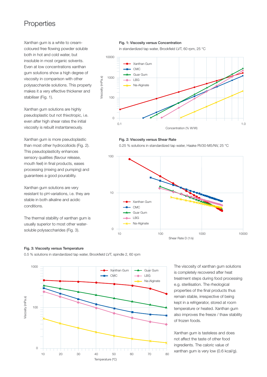### **Properties**

Xanthan gum is a white to creamcoloured free flowing powder soluble both in hot and cold water, but insoluble in most organic solvents. Even at low concentrations xanthan gum solutions show a high degree of viscosity in comparison with other polysaccharide solutions. This property makes it a very effective thickener and stabiliser (Fig. 1).

Xanthan gum solutions are highly pseudoplastic but not thixotropic, i.e. even after high shear rates the initial viscosity is rebuilt instantaneously.

Xanthan gum is more pseudoplastic than most other hydrocolloids (Fig. 2). This pseudoplasticity enhances sensory qualities (flavour release, mouth feel) in final products, eases processing (mixing and pumping) and guarantees a good pourability.

Xanthan gum solutions are very resistant to pH-variations, i.e. they are stable in both alkaline and acidic conditions.

The thermal stability of xanthan gum is usually superior to most other watersoluble polysaccharides (Fig. 3).

#### **Fig. 1: Viscosity versus Concentration**

in standardized tap water, Brookfield LVT, 60 rpm, 25 °C



#### **Fig. 2: Viscosity versus Shear Rate**

0.25 % solutions in standardized tap water, Haake RV30-M5/NV, 25 °C



#### **Fig. 3: Viscosity versus Temperature**

0.5 % solutions in standardized tap water, Brookfield LVT, spindle 2, 60 rpm



The viscosity of xanthan gum solutions is completely recovered after heat treatment steps during food processing e.g. sterilisation. The rheological properties of the final products thus remain stable, irrespective of being kept in a refrigerator, stored at room temperature or heated. Xanthan gum also improves the freeze / thaw stability of frozen foods.

Xanthan gum is tasteless and does not affect the taste of other food ingredients. The caloric value of xanthan gum is very low (0.6 kcal/g).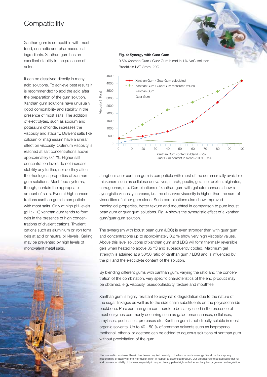### **Compatibility**

Xanthan gum is compatible with most food, cosmetic and pharmaceutical ingredients. Xanthan gum has an excellent stability in the presence of acids.

It can be dissolved directly in many acid solutions. To achieve best results it is recommended to add the acid after the preparation of the gum solution. Xanthan gum solutions have unusually good compatibility and stability in the presence of most salts. The addition of electrolytes, such as sodium and potassium chloride, increases the viscosity and stability. Divalent salts like calcium or magnesium have a similar effect on viscosity. Optimum viscosity is reached at salt concentrations above approximately 0.1 %. Higher salt concentration levels do not increase stability any further, nor do they affect the rheological properties of xanthan gum solutions. Most food systems, though, contain the appropriate amount of salts. Even at high concentrations xanthan gum is compatible with most salts. Only at high pH-levels (pH > 10) xanthan gum tends to form gels in the presence of high concentrations of divalent cations. Trivalent cations such as aluminium or iron form gels at acid or neutral pH-levels. Gelling may be prevented by high levels of monovalent metal salts.



#### **Fig. 4: Synergy with Guar Gum**

0.5% Xanthan Gum / Guar Gum blend in 1% NaCl solution Brookfield LVT, 3rpm, 20C



Jungbunzlauer xanthan gum is compatible with most of the commercially available thickeners such as cellulose derivatives, starch, pectin, gelatine, dextrin, alginates, carrageenan, etc. Combinations of xanthan gum with galactomannans show a synergistic viscosity increase, i.e. the observed viscosity is higher than the sum of viscosities of either gum alone. Such combinations also show improved rheological properties, better texture and mouthfeel in comparison to pure locust bean gum or guar gum solutions. Fig. 4 shows the synergistic effect of a xanthan gum/guar gum solution.

The synergism with locust bean gum (LBG) is even stronger than with guar gum and concentrations up to approximately 0.2 % show very high viscosity values. Above this level solutions of xanthan gum and LBG will form thermally reversible gels when heated to above 85 °C and subsequently cooled. Maximum gel strength is attained at a 50/50 ratio of xanthan gum / LBG and is influenced by the pH and the electrolyte content of the solution.

By blending different gums with xanthan gum, varying the ratio and the concentration of the combination, very specific characteristics of the end product may be obtained, e.g. viscosity, pseudoplasticity, texture and mouthfeel.

Xanthan gum is highly resistant to enzymatic degradation due to the nature of the sugar linkages as well as to the side chain substituents on the polysaccharide backbone. Pure xanthan gum can therefore be safely used in the presence of most enzymes commonly occurring such as galactomannanases, cellulases, amylases, pectinases, proteases etc. Xanthan gum is not directly soluble in most organic solvents. Up to 40 - 50 % of common solvents such as isopropanol, methanol, ethanol or acetone can be added to aqueous solutions of xanthan gum without precipitation of the gum.

The information contained herein has been compiled carefully to the best of our knowledge. We do not accept any responsibility or liability for the information given in respect to described product. Our product has to be applied under full and own responsibility of the user, especially in respect to any patent rights of other and any law or government regulation.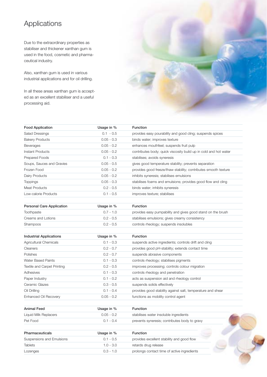## Applications

Due to the extraordinary properties as stabiliser and thickener xanthan gum is used in the food, cosmetic and pharmaceutical industry.

Also, xanthan gum is used in various industrial applications and for oil drilling.

In all these areas xanthan gum is accepted as an excellent stabiliser and a useful processing aid.



| <b>Food Application</b>            | Usage in %   | Function                                                         |  |  |
|------------------------------------|--------------|------------------------------------------------------------------|--|--|
| <b>Salad Dressings</b>             | $0.1 - 0.5$  | provides easy pourability and good cling; suspends spices        |  |  |
| <b>Bakery Products</b>             | $0.05 - 0.3$ | binds water; improves texture                                    |  |  |
| Beverages                          | $0.05 - 0.2$ | enhances mouthfeel; suspends fruit pulp                          |  |  |
| Instant Products                   | $0.05 - 0.2$ | contributes body; quick viscosity build up in cold and hot water |  |  |
| Prepared Foods                     | $0.1 - 0.3$  | stabilises; avoids syneresis                                     |  |  |
| Soups, Sauces and Gravies          | $0.05 - 0.5$ | gives good temperature stability; prevents separation            |  |  |
| Frozen Food                        | $0.05 - 0.2$ | provides good freeze/thaw stability; contributes smooth texture  |  |  |
| Dairy Products                     | $0.05 - 0.2$ | inhibits syneresis; stabilises emulsions                         |  |  |
| <b>Toppings</b>                    | $0.05 - 0.3$ | stabilises foams and emulsions; provides good flow and cling     |  |  |
| <b>Meat Products</b>               | $0.2 - 0.5$  | binds water; inhibits syneresis                                  |  |  |
| Low-calorie Products               | $0.1 - 0.5$  | improves texture; stabilises                                     |  |  |
| <b>Personal Care Application</b>   | Usage in %   | <b>Function</b>                                                  |  |  |
| Toothpaste                         | $0.7 - 1.0$  | provides easy pumpability and gives good stand on the brush      |  |  |
| Creams and Lotions                 | $0.2 - 0.5$  | stabilises emulsions; gives creamy consistency                   |  |  |
| Shampoos                           | $0.2 - 0.5$  | controls rheology; suspends insolubles                           |  |  |
| <b>Industrial Applications</b>     | Usage in %   | <b>Function</b>                                                  |  |  |
| <b>Agricultural Chemicals</b>      | $0.1 - 0.3$  | suspends active ingredients; controls drift and cling            |  |  |
| Cleaners                           | $0.2 - 0.7$  | provides good pH-stability; extends contact time                 |  |  |
| Polishes                           | $0.2 - 0.7$  | suspends abrasive components                                     |  |  |
| <b>Water Based Paints</b>          | $0.1 - 0.3$  | controls rheology; stabilises pigments                           |  |  |
| <b>Textile and Carpet Printing</b> | $0.2 - 0.5$  | improves processing; controls colour migration                   |  |  |
| Adhesives                          | $0.1 - 0.3$  | controls rheology and penetration                                |  |  |
| Paper Industry                     | $0.1 - 0.2$  | acts as suspension aid and rheology control                      |  |  |
| Ceramic Glazes                     | $0.3 - 0.5$  | suspends solids effectively                                      |  |  |
| Oil Drilling                       | $0.1 - 0.4$  | provides good stability against salt, temperature and shear      |  |  |
| <b>Enhanced Oil Recovery</b>       | $0.05 - 0.2$ | functions as mobility control agent                              |  |  |
| <b>Animal Feed</b>                 | Usage in %   | <b>Function</b>                                                  |  |  |
| Liquid Milk Replacers              | $0.05 - 0.2$ | stabilises water insoluble ingredients                           |  |  |

| Liyulu ivilik Replacers | U.UJ - U.Z  | stabilises water insoluble indicatents        |
|-------------------------|-------------|-----------------------------------------------|
| Pet Food                | $0.1 - 0.4$ | prevents syneresis; contributes body to gravy |
|                         |             |                                               |

| <b>Pharmaceuticals</b>    | Usage in $%$ | <b>Function</b>                             |  |
|---------------------------|--------------|---------------------------------------------|--|
| Suspensions and Emulsions | $0.1 - 0.5$  | provides excellent stability and good flow  |  |
| <b>Tablets</b>            | $1.0 - 3.0$  | retards drug release                        |  |
| Lozenges                  | $0.3 - 1.0$  | prolongs contact time of active ingredients |  |